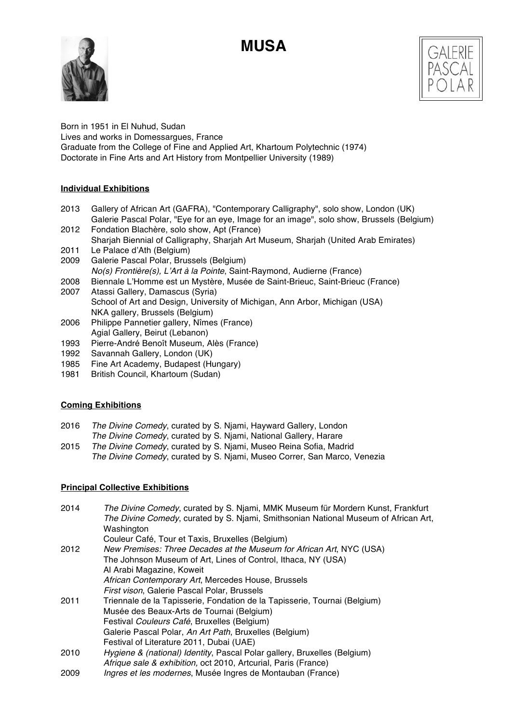# **MUSA**





Born in 1951 in El Nuhud, Sudan Lives and works in Domessargues, France Graduate from the College of Fine and Applied Art, Khartoum Polytechnic (1974) Doctorate in Fine Arts and Art History from Montpellier University (1989)

# **Individual Exhibitions**

- 2013 Gallery of African Art (GAFRA), "Contemporary Calligraphy", solo show, London (UK) Galerie Pascal Polar, "Eye for an eye, Image for an image", solo show, Brussels (Belgium)
- 2012 Fondation Blachère, solo show, Apt (France) Sharjah Biennial of Calligraphy, Sharjah Art Museum, Sharjah (United Arab Emirates) 2011 Le Palace d'Ath (Belgium)
- 2009 Galerie Pascal Polar, Brussels (Belgium)
- *No(s) Frontière(s), L*'*Art à la Pointe*, Saint-Raymond, Audierne (France)
- 2008 Biennale L'Homme est un Mystère, Musée de Saint-Brieuc, Saint-Brieuc (France)
- 2007 Atassi Gallery, Damascus (Syria) School of Art and Design, University of Michigan, Ann Arbor, Michigan (USA) NKA gallery, Brussels (Belgium)
- 2006 Philippe Pannetier gallery, Nîmes (France) Agial Gallery, Beirut (Lebanon)
- 1993 Pierre-André Benoît Museum, Alès (France)
- 1992 Savannah Gallery, London (UK)
- 1985 Fine Art Academy, Budapest (Hungary)
- 1981 British Council, Khartoum (Sudan)

# **Coming Exhibitions**

- 2016 *The Divine Comedy*, curated by S. Njami, Hayward Gallery, London
- *The Divine Comedy*, curated by S. Njami, National Gallery, Harare
- 2015 *The Divine Comedy*, curated by S. Njami, Museo Reina Sofia, Madrid *The Divine Comedy*, curated by S. Njami, Museo Correr, San Marco, Venezia

# **Principal Collective Exhibitions**

| 2014 | The Divine Comedy, curated by S. Njami, MMK Museum für Mordern Kunst, Frankfurt<br>The Divine Comedy, curated by S. Njami, Smithsonian National Museum of African Art, |
|------|------------------------------------------------------------------------------------------------------------------------------------------------------------------------|
|      | Washington                                                                                                                                                             |
|      | Couleur Café, Tour et Taxis, Bruxelles (Belgium)                                                                                                                       |
| 2012 | New Premises: Three Decades at the Museum for African Art, NYC (USA)                                                                                                   |
|      | The Johnson Museum of Art, Lines of Control, Ithaca, NY (USA)                                                                                                          |
|      | Al Arabi Magazine, Koweit                                                                                                                                              |
|      | African Contemporary Art, Mercedes House, Brussels                                                                                                                     |
|      | <i>First vison</i> , Galerie Pascal Polar, Brussels                                                                                                                    |
| 2011 | Triennale de la Tapisserie, Fondation de la Tapisserie, Tournai (Belgium)                                                                                              |
|      | Musée des Beaux-Arts de Tournai (Belgium)                                                                                                                              |
|      | Festival Couleurs Café, Bruxelles (Belgium)                                                                                                                            |
|      | Galerie Pascal Polar, An Art Path, Bruxelles (Belgium)                                                                                                                 |
|      | Festival of Literature 2011, Dubai (UAE)                                                                                                                               |
| 2010 | Hygiene & (national) Identity, Pascal Polar gallery, Bruxelles (Belgium)                                                                                               |
|      | Afrique sale & exhibition, oct 2010, Artcurial, Paris (France)                                                                                                         |
| 2009 | <i>Ingres et les modernes</i> , Musée Ingres de Montauban (France)                                                                                                     |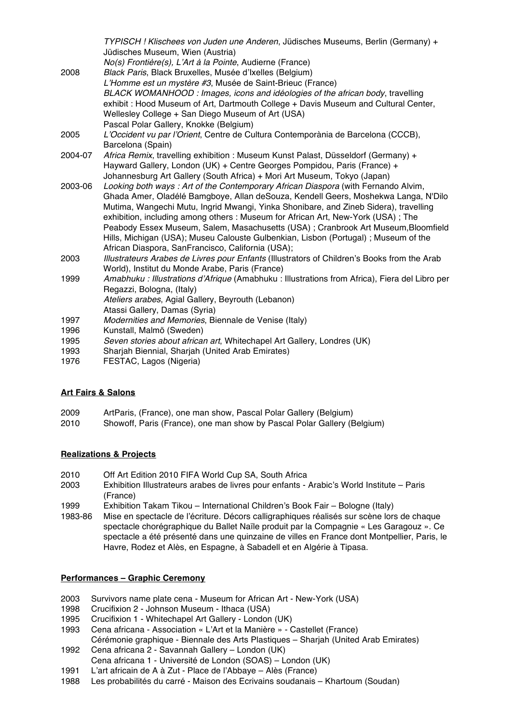|         | TYPISCH! Klischees von Juden une Anderen, Jüdisches Museums, Berlin (Germany) +                |
|---------|------------------------------------------------------------------------------------------------|
| 2008    | Jüdisches Museum, Wien (Austria)                                                               |
|         | No(s) Frontière(s), L'Art à la Pointe, Audierne (France)                                       |
|         | Black Paris, Black Bruxelles, Musée d'Ixelles (Belgium)                                        |
|         | L'Homme est un mystère #3, Musée de Saint-Brieuc (France)                                      |
|         | BLACK WOMANHOOD: Images, icons and idéologies of the african body, travelling                  |
|         | exhibit: Hood Museum of Art, Dartmouth College + Davis Museum and Cultural Center,             |
|         | Wellesley College + San Diego Museum of Art (USA)                                              |
|         | Pascal Polar Gallery, Knokke (Belgium)                                                         |
| 2005    | L'Occident vu par l'Orient, Centre de Cultura Contemporània de Barcelona (CCCB),               |
|         | Barcelona (Spain)                                                                              |
| 2004-07 | Africa Remix, travelling exhibition : Museum Kunst Palast, Düsseldorf (Germany) +              |
|         | Hayward Gallery, London (UK) + Centre Georges Pompidou, Paris (France) +                       |
|         | Johannesburg Art Gallery (South Africa) + Mori Art Museum, Tokyo (Japan)                       |
| 2003-06 | Looking both ways : Art of the Contemporary African Diaspora (with Fernando Alvim,             |
| 2003    | Ghada Amer, Oladélé Bamgboye, Allan deSouza, Kendell Geers, Moshekwa Langa, N'Dilo             |
|         | Mutima, Wangechi Mutu, Ingrid Mwangi, Yinka Shonibare, and Zineb Sidera), travelling           |
|         | exhibition, including among others : Museum for African Art, New-York (USA); The               |
|         | Peabody Essex Museum, Salem, Masachusetts (USA); Cranbrook Art Museum, Bloomfield              |
|         | Hills, Michigan (USA); Museu Calouste Gulbenkian, Lisbon (Portugal); Museum of the             |
|         | African Diaspora, SanFrancisco, California (USA);                                              |
|         | Illustrateurs Arabes de Livres pour Enfants (Illustrators of Children's Books from the Arab    |
|         | World), Institut du Monde Arabe, Paris (France)                                                |
| 1999    | Amabhuku : Illustrations d'Afrique (Amabhuku : Illustrations from Africa), Fiera del Libro per |
|         | Regazzi, Bologna, (Italy)                                                                      |
|         | Ateliers arabes, Agial Gallery, Beyrouth (Lebanon)                                             |
|         | Atassi Gallery, Damas (Syria)                                                                  |
| 1997    | Modernities and Memories, Biennale de Venise (Italy)                                           |
| 1996    | Kunstall, Malmö (Sweden)                                                                       |

- 1995 *Seven stories about african art*, Whitechapel Art Gallery, Londres (UK)
- 1993 Sharjah Biennial, Sharjah (United Arab Emirates)
- 1976 FESTAC, Lagos (Nigeria)

# **Art Fairs & Salons**

- 2009 ArtParis, (France), one man show, Pascal Polar Gallery (Belgium)
- 2010 Showoff, Paris (France), one man show by Pascal Polar Gallery (Belgium)

# **Realizations & Projects**

- 2010 Off Art Edition 2010 FIFA World Cup SA, South Africa
- 2003 Exhibition Illustrateurs arabes de livres pour enfants Arabic's World Institute Paris (France)
- 1999 Exhibition Takam Tikou International Children's Book Fair Bologne (Italy)
- 1983-86 Mise en spectacle de l'écriture. Décors calligraphiques réalisés sur scène lors de chaque spectacle chorégraphique du Ballet Naïle produit par la Compagnie « Les Garagouz ». Ce spectacle a été présenté dans une quinzaine de villes en France dont Montpellier, Paris, le Havre, Rodez et Alès, en Espagne, à Sabadell et en Algérie à Tipasa.

# **Performances – Graphic Ceremony**

- 2003 Survivors name plate cena Museum for African Art New-York (USA)
- 1998 Crucifixion 2 Johnson Museum Ithaca (USA)
- 1995 Crucifixion 1 Whitechapel Art Gallery London (UK)
- 1993 Cena africana Association « L'Art et la Manière » Castellet (France)
- Cérémonie graphique Biennale des Arts Plastiques Sharjah (United Arab Emirates) 1992 Cena africana 2 - Savannah Gallery – London (UK)
- Cena africana 1 Université de London (SOAS) London (UK)
- 1991 L'art africain de A à Zut Place de l'Abbaye Alès (France)
- Les probabilités du carré Maison des Ecrivains soudanais Khartoum (Soudan)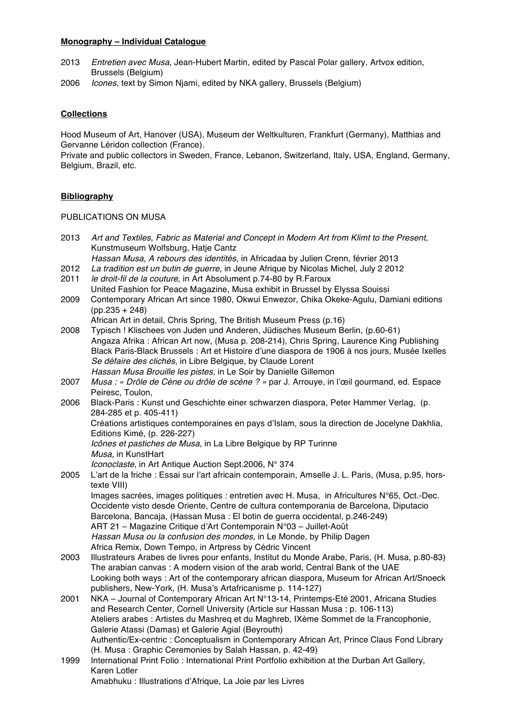#### **Monography – Individual Catalogue**

- 2013 *Entretien avec Musa,* Jean-Hubert Martin, edited by Pascal Polar gallery, Artvox edition, Brussels (Belgium)
- 2006 *Icones*, text by Simon Njami, edited by NKA gallery, Brussels (Belgium)

## **Collections**

Hood Museum of Art, Hanover (USA), Museum der Weltkulturen, Frankfurt (Germany), Matthias and Gervanne Léridon collection (France).

Private and public collectors in Sweden, France, Lebanon, Switzerland, Italy, USA, England, Germany, Belgium, Brazil, etc.

## **Bibliography**

PUBLICATIONS ON MUSA

| 2013 | Art and Textiles, Fabric as Material and Concept in Modern Art from Klimt to the Present,                                   |
|------|-----------------------------------------------------------------------------------------------------------------------------|
|      | Kunstmuseum Wolfsburg, Hatje Cantz                                                                                          |
|      | Hassan Musa, A rebours des identités, in Africadaa by Julien Crenn, février 2013                                            |
| 2012 | La tradition est un butin de guerre, in Jeune Afrique by Nicolas Michel, July 2 2012                                        |
| 2011 | le droit-fil de la couture, in Art Absolument p.74-80 by R.Faroux                                                           |
|      | United Fashion for Peace Magazine, Musa exhibit in Brussel by Elyssa Souissi                                                |
| 2009 | Contemporary African Art since 1980, Okwui Enwezor, Chika Okeke-Agulu, Damiani editions                                     |
|      | $(pp.235 + 248)$                                                                                                            |
|      | African Art in detail, Chris Spring, The British Museum Press (p.16)                                                        |
| 2008 | Typisch ! Klischees von Juden und Anderen, Jüdisches Museum Berlin, (p.60-61)                                               |
|      | Angaza Afrika: African Art now, (Musa p. 208-214), Chris Spring, Laurence King Publishing                                   |
|      | Black Paris-Black Brussels : Art et Histoire d'une diaspora de 1906 à nos jours, Musée Ixelles                              |
|      | Se défaire des clichés, in Libre Belgique, by Claude Lorent                                                                 |
|      | Hassan Musa Brouille les pistes, in Le Soir by Danielle Gillemon                                                            |
| 2007 | Musa : « Drôle de Cène ou drôle de scène ? » par J. Arrouye, in l'œil gourmand, ed. Espace                                  |
|      | Peiresc, Toulon,                                                                                                            |
| 2006 | Black-Paris : Kunst und Geschichte einer schwarzen diaspora, Peter Hammer Verlag, (p.                                       |
|      | 284-285 et p. 405-411)                                                                                                      |
|      | Créations artistiques contemporaines en pays d'Islam, sous la direction de Jocelyne Dakhlia,<br>Editions Kimé, (p. 226-227) |
|      | Icônes et pastiches de Musa, in La Libre Belgique by RP Turinne                                                             |
|      | Musa, in KunstHart                                                                                                          |
|      | Iconoclaste, in Art Antique Auction Sept.2006, Nº 374                                                                       |
| 2005 | L'art de la friche : Essai sur l'art africain contemporain, Amselle J. L. Paris, (Musa, p.95, hors-                         |
|      | texte VIII)                                                                                                                 |
|      | Images sacrées, images politiques : entretien avec H. Musa, in Africultures N°65, Oct.-Dec.                                 |
|      | Occidente visto desde Oriente, Centre de cultura contemporania de Barcelona, Diputacio                                      |
|      | Barcelona, Bancaja, (Hassan Musa : El botin de guerra occidental, p.246-249)                                                |
|      | ART 21 - Magazine Critique d'Art Contemporain N°03 - Juillet-Août                                                           |
|      | Hassan Musa ou la confusion des mondes, in Le Monde, by Philip Dagen                                                        |
|      | Africa Remix, Down Tempo, in Artpress by Cédric Vincent                                                                     |
| 2003 | Illustrateurs Arabes de livres pour enfants, Institut du Monde Arabe, Paris, (H. Musa, p.80-83)                             |
|      | The arabian canvas: A modern vision of the arab world, Central Bank of the UAE                                              |
|      | Looking both ways: Art of the contemporary african diaspora, Museum for African Art/Snoeck                                  |
|      | publishers, New-York, (H. Musa's Artafricanisme p. 114-127)                                                                 |
| 2001 | NKA – Journal of Contemporary African Art N°13-14, Printemps-Eté 2001, Africana Studies                                     |
|      | and Research Center, Cornell University (Article sur Hassan Musa : p. 106-113)                                              |
|      | Ateliers arabes : Artistes du Mashreq et du Maghreb, IXème Sommet de la Francophonie,                                       |
|      | Galerie Atassi (Damas) et Galerie Agial (Beyrouth)                                                                          |
|      | Authentic/Ex-centric: Conceptualism in Contemporary African Art, Prince Claus Fond Library                                  |
|      | (H. Musa: Graphic Ceremonies by Salah Hassan, p. 42-49)                                                                     |
| 1999 |                                                                                                                             |
|      | International Print Folio: International Print Portfolio exhibition at the Durban Art Gallery,<br>Karen Lotler              |